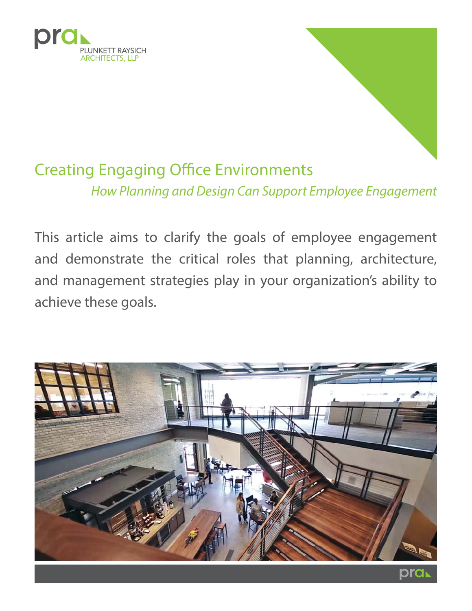

# Creating Engaging Office Environments How Planning and Design Can Support Employee Engagement

This article aims to clarify the goals of employee engagement and demonstrate the critical roles that planning, architecture, and management strategies play in your organization's ability to achieve these goals.

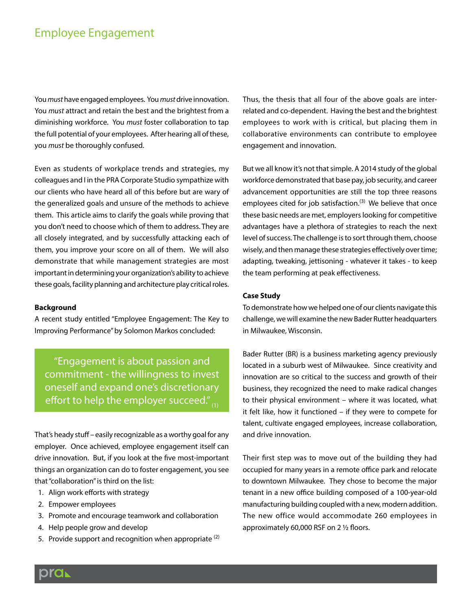### Employee Engagement

You must have engaged employees. You must drive innovation. You must attract and retain the best and the brightest from a diminishing workforce. You must foster collaboration to tap the full potential of your employees. After hearing all of these, you must be thoroughly confused.

Even as students of workplace trends and strategies, my colleagues and I in the PRA Corporate Studio sympathize with our clients who have heard all of this before but are wary of the generalized goals and unsure of the methods to achieve them. This article aims to clarify the goals while proving that you don't need to choose which of them to address. They are all closely integrated, and by successfully attacking each of them, you improve your score on all of them. We will also demonstrate that while management strategies are most important in determining your organization's ability to achieve these goals, facility planning and architecture play critical roles.

### **Background**

A recent study entitled "Employee Engagement: The Key to Improving Performance" by Solomon Markos concluded:

"Engagement is about passion and commitment - the willingness to invest oneself and expand one's discretionary effort to help the employer succeed." $_{(1)}$ 

That's heady stuff – easily recognizable as a worthy goal for any employer. Once achieved, employee engagement itself can drive innovation. But, if you look at the five most-important things an organization can do to foster engagement, you see that "collaboration" is third on the list:

- 1. Align work efforts with strategy
- 2. Empower employees
- 3. Promote and encourage teamwork and collaboration
- 4. Help people grow and develop
- 5. Provide support and recognition when appropriate  $(2)$

Thus, the thesis that all four of the above goals are interrelated and co-dependent. Having the best and the brightest employees to work with is critical, but placing them in collaborative environments can contribute to employee engagement and innovation.

But we all know it's not that simple. A 2014 study of the global workforce demonstrated that base pay, job security, and career advancement opportunities are still the top three reasons employees cited for job satisfaction.<sup>(3)</sup> We believe that once these basic needs are met, employers looking for competitive advantages have a plethora of strategies to reach the next level of success. The challenge is to sort through them, choose wisely, and then manage these strategies effectively over time; adapting, tweaking, jettisoning - whatever it takes - to keep the team performing at peak effectiveness.

### **Case Study**

To demonstrate how we helped one of our clients navigate this challenge, we will examine the new Bader Rutter headquarters in Milwaukee, Wisconsin.

Bader Rutter (BR) is a business marketing agency previously located in a suburb west of Milwaukee. Since creativity and innovation are so critical to the success and growth of their business, they recognized the need to make radical changes to their physical environment – where it was located, what it felt like, how it functioned – if they were to compete for talent, cultivate engaged employees, increase collaboration, and drive innovation.

Their first step was to move out of the building they had occupied for many years in a remote office park and relocate to downtown Milwaukee. They chose to become the major tenant in a new office building composed of a 100-year-old manufacturing building coupled with a new, modern addition. The new office would accommodate 260 employees in approximately 60,000 RSF on 2 ½ floors.

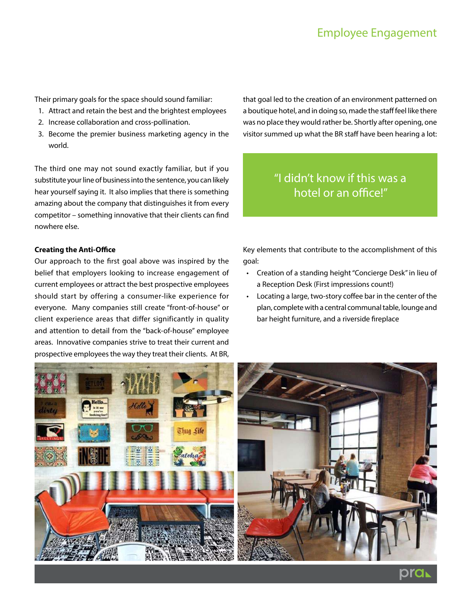Their primary goals for the space should sound familiar:

- 1. Attract and retain the best and the brightest employees
- 2. Increase collaboration and cross-pollination.
- 3. Become the premier business marketing agency in the world.

The third one may not sound exactly familiar, but if you substitute your line of business into the sentence, you can likely hear yourself saying it. It also implies that there is something amazing about the company that distinguishes it from every competitor – something innovative that their clients can find nowhere else.

### **Creating the Anti-Office**

Our approach to the first goal above was inspired by the belief that employers looking to increase engagement of current employees or attract the best prospective employees should start by offering a consumer-like experience for everyone. Many companies still create "front-of-house" or client experience areas that differ significantly in quality and attention to detail from the "back-of-house" employee areas. Innovative companies strive to treat their current and prospective employees the way they treat their clients. At BR,

that goal led to the creation of an environment patterned on a boutique hotel, and in doing so, made the staff feel like there was no place they would rather be. Shortly after opening, one visitor summed up what the BR staff have been hearing a lot:

## "I didn't know if this was a hotel or an office!"

Key elements that contribute to the accomplishment of this goal:

- Creation of a standing height "Concierge Desk" in lieu of a Reception Desk (First impressions count!)
- Locating a large, two-story coffee bar in the center of the plan, complete with a central communal table, lounge and bar height furniture, and a riverside fireplace



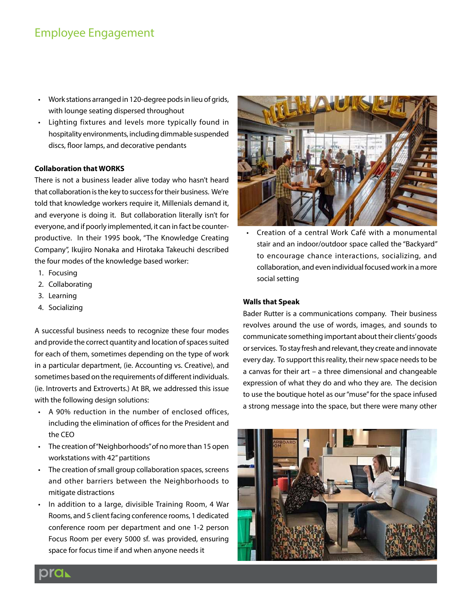### Employee Engagement

- Work stations arranged in 120-degree pods in lieu of grids, with lounge seating dispersed throughout
- Lighting fixtures and levels more typically found in hospitality environments, including dimmable suspended discs, floor lamps, and decorative pendants

#### **Collaboration that WORKS**

There is not a business leader alive today who hasn't heard that collaboration is the key to success for their business. We're told that knowledge workers require it, Millenials demand it, and everyone is doing it. But collaboration literally isn't for everyone, and if poorly implemented, it can in fact be counterproductive. In their 1995 book, "The Knowledge Creating Company", Ikujiro Nonaka and Hirotaka Takeuchi described the four modes of the knowledge based worker:

- 1. Focusing
- 2. Collaborating
- 3. Learning
- 4. Socializing

A successful business needs to recognize these four modes and provide the correct quantity and location of spaces suited for each of them, sometimes depending on the type of work in a particular department, (ie. Accounting vs. Creative), and sometimes based on the requirements of different individuals. (ie. Introverts and Extroverts.) At BR, we addressed this issue with the following design solutions:

- A 90% reduction in the number of enclosed offices, including the elimination of offices for the President and the CEO
- The creation of "Neighborhoods" of no more than 15 open workstations with 42" partitions
- The creation of small group collaboration spaces, screens and other barriers between the Neighborhoods to mitigate distractions
- In addition to a large, divisible Training Room, 4 War Rooms, and 5 client facing conference rooms, 1 dedicated conference room per department and one 1-2 person Focus Room per every 5000 sf. was provided, ensuring space for focus time if and when anyone needs it



• Creation of a central Work Café with a monumental stair and an indoor/outdoor space called the "Backyard" to encourage chance interactions, socializing, and collaboration, and even individual focused work in a more social setting

### **Walls that Speak**

Bader Rutter is a communications company. Their business revolves around the use of words, images, and sounds to communicate something important about their clients' goods or services. To stay fresh and relevant, they create and innovate every day. To support this reality, their new space needs to be a canvas for their art – a three dimensional and changeable expression of what they do and who they are. The decision to use the boutique hotel as our "muse" for the space infused a strong message into the space, but there were many other